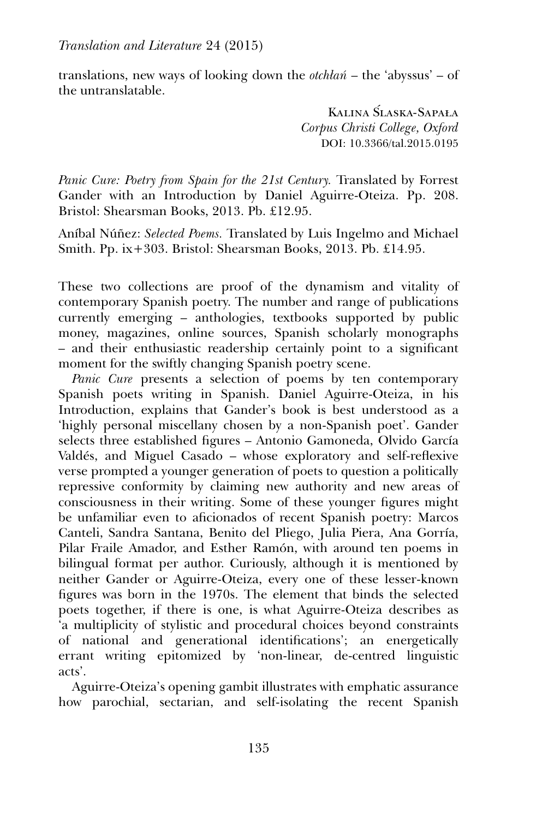*Translation and Literature* 24 (2015)

translations, new ways of looking down the *otchlan* – the 'abyssus' – of the untranslatable.

> Kalina Slaska-Sapała ´ *Corpus Christi College, Oxford* DOI: 10.3366/tal.2015.0195

*Panic Cure: Poetry from Spain for the 21st Century.* Translated by Forrest Gander with an Introduction by Daniel Aguirre-Oteiza. Pp. 208. Bristol: Shearsman Books, 2013. Pb. £12.95.

Aníbal Núñez: *Selected Poems.* Translated by Luis Ingelmo and Michael Smith. Pp. ix+303. Bristol: Shearsman Books, 2013. Pb. £14.95.

These two collections are proof of the dynamism and vitality of contemporary Spanish poetry. The number and range of publications currently emerging – anthologies, textbooks supported by public money, magazines, online sources, Spanish scholarly monographs – and their enthusiastic readership certainly point to a significant moment for the swiftly changing Spanish poetry scene.

*Panic Cure* presents a selection of poems by ten contemporary Spanish poets writing in Spanish. Daniel Aguirre-Oteiza, in his Introduction, explains that Gander's book is best understood as a 'highly personal miscellany chosen by a non-Spanish poet'. Gander selects three established figures – Antonio Gamoneda, Olvido García Valdés, and Miguel Casado – whose exploratory and self-reflexive verse prompted a younger generation of poets to question a politically repressive conformity by claiming new authority and new areas of consciousness in their writing. Some of these younger figures might be unfamiliar even to aficionados of recent Spanish poetry: Marcos Canteli, Sandra Santana, Benito del Pliego, Julia Piera, Ana Gorría, Pilar Fraile Amador, and Esther Ramón, with around ten poems in bilingual format per author. Curiously, although it is mentioned by neither Gander or Aguirre-Oteiza, every one of these lesser-known figures was born in the 1970s. The element that binds the selected poets together, if there is one, is what Aguirre-Oteiza describes as 'a multiplicity of stylistic and procedural choices beyond constraints of national and generational identifications'; an energetically errant writing epitomized by 'non-linear, de-centred linguistic acts'.

Aguirre-Oteiza's opening gambit illustrates with emphatic assurance how parochial, sectarian, and self-isolating the recent Spanish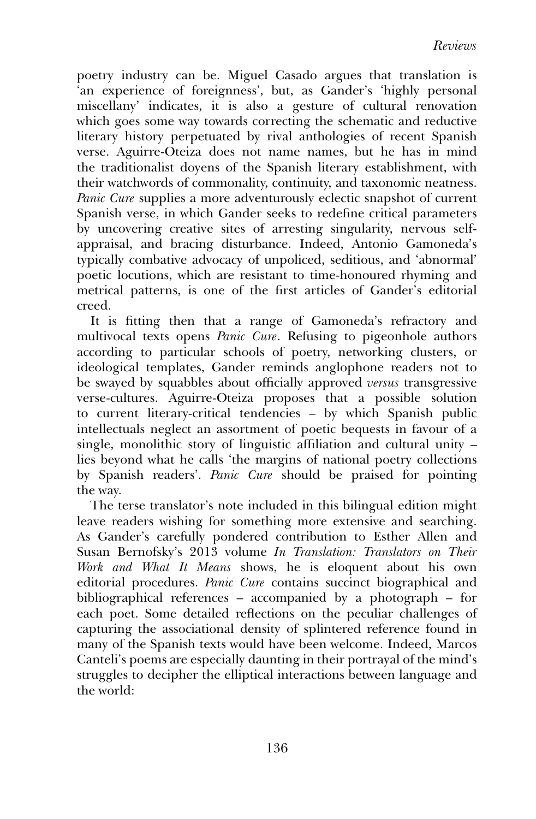poetry industry can be. Miguel Casado argues that translation is 'an experience of foreignness', but, as Gander's 'highly personal miscellany' indicates, it is also a gesture of cultural renovation which goes some way towards correcting the schematic and reductive literary history perpetuated by rival anthologies of recent Spanish verse. Aguirre-Oteiza does not name names, but he has in mind the traditionalist doyens of the Spanish literary establishment, with their watchwords of commonality, continuity, and taxonomic neatness. *Panic Cure* supplies a more adventurously eclectic snapshot of current Spanish verse, in which Gander seeks to redefine critical parameters by uncovering creative sites of arresting singularity, nervous selfappraisal, and bracing disturbance. Indeed, Antonio Gamoneda's typically combative advocacy of unpoliced, seditious, and 'abnormal' poetic locutions, which are resistant to time-honoured rhyming and metrical patterns, is one of the first articles of Gander's editorial creed.

It is fitting then that a range of Gamoneda's refractory and multivocal texts opens *Panic Cure*. Refusing to pigeonhole authors according to particular schools of poetry, networking clusters, or ideological templates, Gander reminds anglophone readers not to be swayed by squabbles about officially approved *versus* transgressive verse-cultures. Aguirre-Oteiza proposes that a possible solution to current literary-critical tendencies – by which Spanish public intellectuals neglect an assortment of poetic bequests in favour of a single, monolithic story of linguistic affiliation and cultural unity – lies beyond what he calls 'the margins of national poetry collections by Spanish readers'. *Panic Cure* should be praised for pointing the way.

The terse translator's note included in this bilingual edition might leave readers wishing for something more extensive and searching. As Gander's carefully pondered contribution to Esther Allen and Susan Bernofsky's 2013 volume *In Translation: Translators on Their Work and What It Means* shows, he is eloquent about his own editorial procedures. *Panic Cure* contains succinct biographical and bibliographical references – accompanied by a photograph – for each poet. Some detailed reflections on the peculiar challenges of capturing the associational density of splintered reference found in many of the Spanish texts would have been welcome. Indeed, Marcos Canteli's poems are especially daunting in their portrayal of the mind's struggles to decipher the elliptical interactions between language and the world: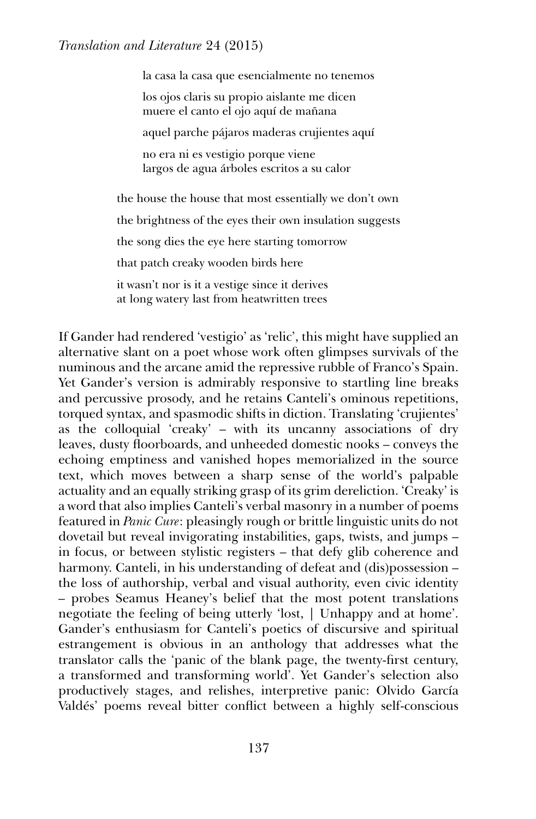## *Translation and Literature* 24 (2015)

la casa la casa que esencialmente no tenemos los ojos claris su propio aislante me dicen muere el canto el ojo aquí de mañana aquel parche pájaros maderas crujientes aquí no era ni es vestigio porque viene largos de agua árboles escritos a su calor the house the house that most essentially we don't own the brightness of the eyes their own insulation suggests the song dies the eye here starting tomorrow that patch creaky wooden birds here it wasn't nor is it a vestige since it derives at long watery last from heatwritten trees

If Gander had rendered 'vestigio' as 'relic', this might have supplied an alternative slant on a poet whose work often glimpses survivals of the numinous and the arcane amid the repressive rubble of Franco's Spain. Yet Gander's version is admirably responsive to startling line breaks and percussive prosody, and he retains Canteli's ominous repetitions, torqued syntax, and spasmodic shifts in diction. Translating 'crujientes' as the colloquial 'creaky' – with its uncanny associations of dry leaves, dusty floorboards, and unheeded domestic nooks – conveys the echoing emptiness and vanished hopes memorialized in the source text, which moves between a sharp sense of the world's palpable actuality and an equally striking grasp of its grim dereliction. 'Creaky' is a word that also implies Canteli's verbal masonry in a number of poems featured in *Panic Cure*: pleasingly rough or brittle linguistic units do not dovetail but reveal invigorating instabilities, gaps, twists, and jumps – in focus, or between stylistic registers – that defy glib coherence and harmony. Canteli, in his understanding of defeat and (dis)possession – the loss of authorship, verbal and visual authority, even civic identity – probes Seamus Heaney's belief that the most potent translations negotiate the feeling of being utterly 'lost, | Unhappy and at home'. Gander's enthusiasm for Canteli's poetics of discursive and spiritual estrangement is obvious in an anthology that addresses what the translator calls the 'panic of the blank page, the twenty-first century, a transformed and transforming world'. Yet Gander's selection also productively stages, and relishes, interpretive panic: Olvido García Valdés' poems reveal bitter conflict between a highly self-conscious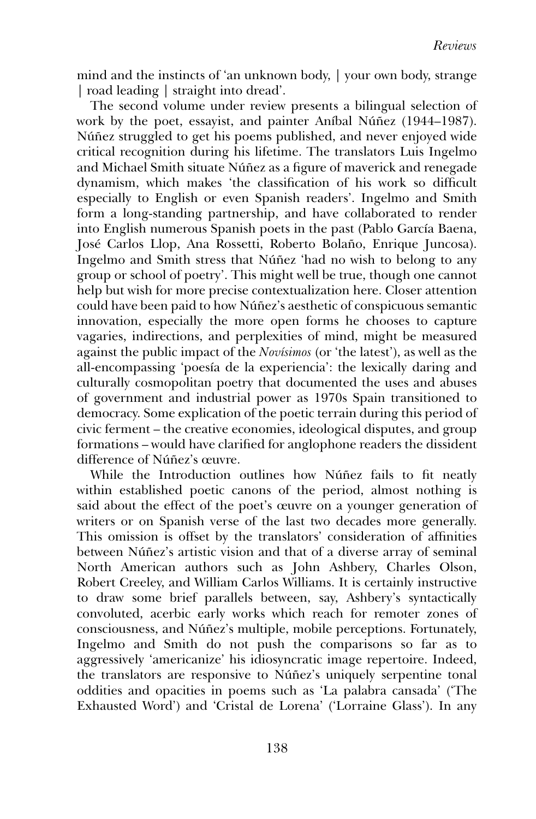mind and the instincts of 'an unknown body, | your own body, strange | road leading | straight into dread'.

The second volume under review presents a bilingual selection of work by the poet, essayist, and painter Aníbal Núñez (1944–1987). Núñez struggled to get his poems published, and never enjoyed wide critical recognition during his lifetime. The translators Luis Ingelmo and Michael Smith situate Núñez as a figure of maverick and renegade dynamism, which makes 'the classification of his work so difficult especially to English or even Spanish readers'. Ingelmo and Smith form a long-standing partnership, and have collaborated to render into English numerous Spanish poets in the past (Pablo García Baena, José Carlos Llop, Ana Rossetti, Roberto Bolaño, Enrique Juncosa). Ingelmo and Smith stress that Núñez 'had no wish to belong to any group or school of poetry'. This might well be true, though one cannot help but wish for more precise contextualization here. Closer attention could have been paid to how Núñez's aesthetic of conspicuous semantic innovation, especially the more open forms he chooses to capture vagaries, indirections, and perplexities of mind, might be measured against the public impact of the *Novísimos* (or 'the latest'), as well as the all-encompassing 'poesía de la experiencia': the lexically daring and culturally cosmopolitan poetry that documented the uses and abuses of government and industrial power as 1970s Spain transitioned to democracy. Some explication of the poetic terrain during this period of civic ferment – the creative economies, ideological disputes, and group formations – would have clarified for anglophone readers the dissident difference of Núñez's œuvre.

While the Introduction outlines how Núñez fails to fit neatly within established poetic canons of the period, almost nothing is said about the effect of the poet's œuvre on a younger generation of writers or on Spanish verse of the last two decades more generally. This omission is offset by the translators' consideration of affinities between Núñez's artistic vision and that of a diverse array of seminal North American authors such as John Ashbery, Charles Olson, Robert Creeley, and William Carlos Williams. It is certainly instructive to draw some brief parallels between, say, Ashbery's syntactically convoluted, acerbic early works which reach for remoter zones of consciousness, and Núñez's multiple, mobile perceptions. Fortunately, Ingelmo and Smith do not push the comparisons so far as to aggressively 'americanize' his idiosyncratic image repertoire. Indeed, the translators are responsive to Núñez's uniquely serpentine tonal oddities and opacities in poems such as 'La palabra cansada' ('The Exhausted Word') and 'Cristal de Lorena' ('Lorraine Glass'). In any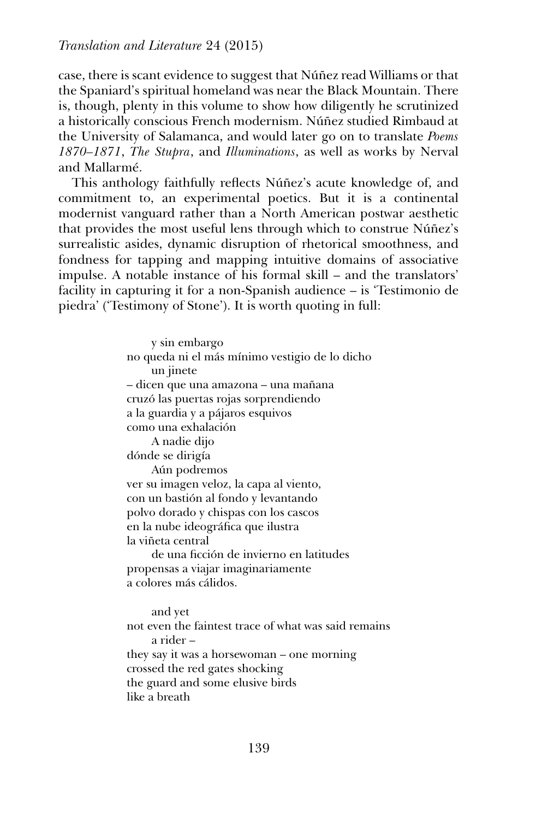case, there is scant evidence to suggest that Núñez read Williams or that the Spaniard's spiritual homeland was near the Black Mountain. There is, though, plenty in this volume to show how diligently he scrutinized a historically conscious French modernism. Núñez studied Rimbaud at the University of Salamanca, and would later go on to translate *Poems 1870–1871*, *The Stupra*, and *Illuminations*, as well as works by Nerval and Mallarmé.

This anthology faithfully reflects Núñez's acute knowledge of, and commitment to, an experimental poetics. But it is a continental modernist vanguard rather than a North American postwar aesthetic that provides the most useful lens through which to construe Núñez's surrealistic asides, dynamic disruption of rhetorical smoothness, and fondness for tapping and mapping intuitive domains of associative impulse. A notable instance of his formal skill – and the translators' facility in capturing it for a non-Spanish audience – is 'Testimonio de piedra' ('Testimony of Stone'). It is worth quoting in full:

> y sin embargo no queda ni el más mínimo vestigio de lo dicho un jinete – dicen que una amazona – una mañana cruzó las puertas rojas sorprendiendo a la guardia y a pájaros esquivos como una exhalación A nadie dijo dónde se dirigía Aún podremos ver su imagen veloz, la capa al viento, con un bastión al fondo y levantando polvo dorado y chispas con los cascos en la nube ideográfica que ilustra la viñeta central de una ficción de invierno en latitudes propensas a viajar imaginariamente a colores más cálidos. and yet not even the faintest trace of what was said remains a rider – they say it was a horsewoman – one morning

crossed the red gates shocking

the guard and some elusive birds

like a breath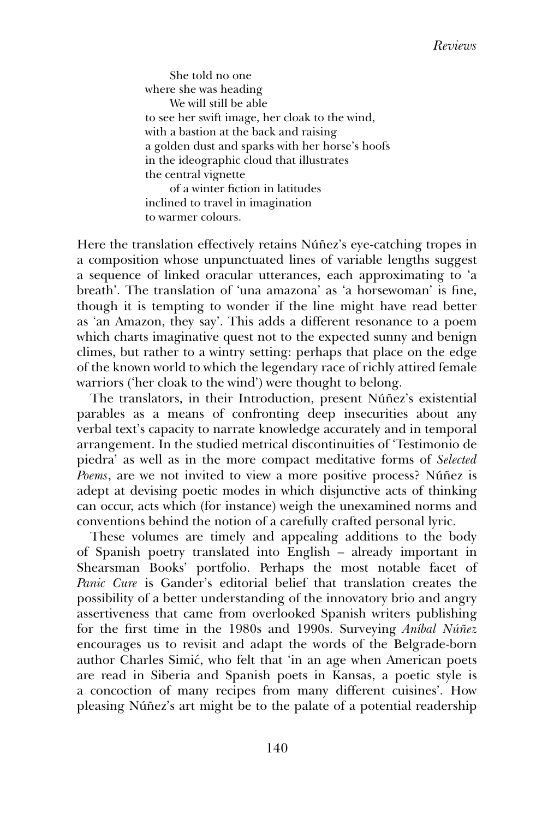She told no one where she was heading We will still be able to see her swift image, her cloak to the wind, with a bastion at the back and raising a golden dust and sparks with her horse's hoofs in the ideographic cloud that illustrates the central vignette of a winter fiction in latitudes inclined to travel in imagination to warmer colours.

Here the translation effectively retains Núñez's eye-catching tropes in a composition whose unpunctuated lines of variable lengths suggest a sequence of linked oracular utterances, each approximating to 'a breath'. The translation of 'una amazona' as 'a horsewoman' is fine, though it is tempting to wonder if the line might have read better as 'an Amazon, they say'. This adds a different resonance to a poem which charts imaginative quest not to the expected sunny and benign climes, but rather to a wintry setting: perhaps that place on the edge of the known world to which the legendary race of richly attired female warriors ('her cloak to the wind') were thought to belong.

The translators, in their Introduction, present Núñez's existential parables as a means of confronting deep insecurities about any verbal text's capacity to narrate knowledge accurately and in temporal arrangement. In the studied metrical discontinuities of 'Testimonio de piedra' as well as in the more compact meditative forms of *Selected Poems*, are we not invited to view a more positive process? Núñez is adept at devising poetic modes in which disjunctive acts of thinking can occur, acts which (for instance) weigh the unexamined norms and conventions behind the notion of a carefully crafted personal lyric.

These volumes are timely and appealing additions to the body of Spanish poetry translated into English – already important in Shearsman Books' portfolio. Perhaps the most notable facet of *Panic Cure* is Gander's editorial belief that translation creates the possibility of a better understanding of the innovatory brio and angry assertiveness that came from overlooked Spanish writers publishing for the first time in the 1980s and 1990s. Surveying *Aníbal Núñez* encourages us to revisit and adapt the words of the Belgrade-born author Charles Simić, who felt that 'in an age when American poets are read in Siberia and Spanish poets in Kansas, a poetic style is a concoction of many recipes from many different cuisines'. How pleasing Núñez's art might be to the palate of a potential readership